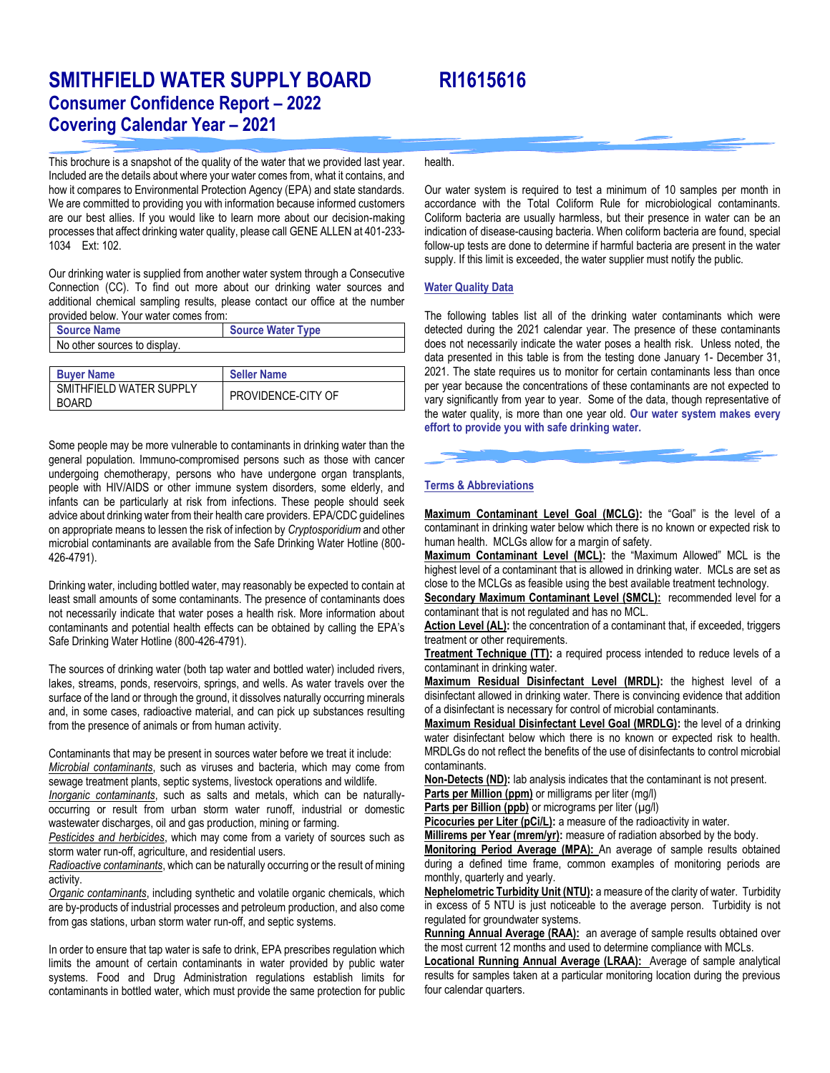# **SMITHFIELD WATER SUPPLY BOARD RI1615616 Consumer Confidence Report – 2022 Covering Calendar Year – 2021**

This brochure is a snapshot of the quality of the water that we provided last year. Included are the details about where your water comes from, what it contains, and how it compares to Environmental Protection Agency (EPA) and state standards. We are committed to providing you with information because informed customers are our best allies. If you would like to learn more about our decision-making processes that affect drinking water quality, please call GENE ALLEN at 401-233- 1034 Ext: 102.

Our drinking water is supplied from another water system through a Consecutive Connection (CC). To find out more about our drinking water sources and additional chemical sampling results, please contact our office at the number provided below. Your water comes from:

| <b>Source Name</b>                       | <b>Source Water Type</b> |
|------------------------------------------|--------------------------|
| No other sources to display.             |                          |
|                                          |                          |
| <b>Buyer Name</b>                        | <b>Seller Name</b>       |
| SMITHFIFI D WATER SUPPLY<br><b>BOARD</b> | PROVIDENCE-CITY OF       |

Some people may be more vulnerable to contaminants in drinking water than the general population. Immuno-compromised persons such as those with cancer undergoing chemotherapy, persons who have undergone organ transplants, people with HIV/AIDS or other immune system disorders, some elderly, and infants can be particularly at risk from infections. These people should seek advice about drinking water from their health care providers. EPA/CDC guidelines on appropriate means to lessen the risk of infection by *Cryptosporidium* and other microbial contaminants are available from the Safe Drinking Water Hotline (800- 426-4791).

Drinking water, including bottled water, may reasonably be expected to contain at least small amounts of some contaminants. The presence of contaminants does not necessarily indicate that water poses a health risk. More information about contaminants and potential health effects can be obtained by calling the EPA's Safe Drinking Water Hotline (800-426-4791).

The sources of drinking water (both tap water and bottled water) included rivers, lakes, streams, ponds, reservoirs, springs, and wells. As water travels over the surface of the land or through the ground, it dissolves naturally occurring minerals and, in some cases, radioactive material, and can pick up substances resulting from the presence of animals or from human activity.

Contaminants that may be present in sources water before we treat it include: *Microbial contaminants*, such as viruses and bacteria, which may come from sewage treatment plants, septic systems, livestock operations and wildlife.

*Inorganic contaminants*, such as salts and metals, which can be naturallyoccurring or result from urban storm water runoff, industrial or domestic wastewater discharges, oil and gas production, mining or farming.

*Pesticides and herbicides*, which may come from a variety of sources such as storm water run-off, agriculture, and residential users.

*Radioactive contaminants*, which can be naturally occurring or the result of mining activity.

*Organic contaminants*, including synthetic and volatile organic chemicals, which are by-products of industrial processes and petroleum production, and also come from gas stations, urban storm water run-off, and septic systems.

In order to ensure that tap water is safe to drink, EPA prescribes regulation which limits the amount of certain contaminants in water provided by public water systems. Food and Drug Administration regulations establish limits for contaminants in bottled water, which must provide the same protection for public health.

Our water system is required to test a minimum of 10 samples per month in accordance with the Total Coliform Rule for microbiological contaminants. Coliform bacteria are usually harmless, but their presence in water can be an indication of disease-causing bacteria. When coliform bacteria are found, special follow-up tests are done to determine if harmful bacteria are present in the water supply. If this limit is exceeded, the water supplier must notify the public.

### **Water Quality Data**

The following tables list all of the drinking water contaminants which were detected during the 2021 calendar year. The presence of these contaminants does not necessarily indicate the water poses a health risk. Unless noted, the data presented in this table is from the testing done January 1- December 31, 2021. The state requires us to monitor for certain contaminants less than once per year because the concentrations of these contaminants are not expected to vary significantly from year to year. Some of the data, though representative of the water quality, is more than one year old. **Our water system makes every effort to provide you with safe drinking water.**



### **Terms & Abbreviations**

**Maximum Contaminant Level Goal (MCLG):** the "Goal" is the level of a contaminant in drinking water below which there is no known or expected risk to human health. MCLGs allow for a margin of safety.

**Maximum Contaminant Level (MCL):** the "Maximum Allowed" MCL is the highest level of a contaminant that is allowed in drinking water. MCLs are set as close to the MCLGs as feasible using the best available treatment technology.

**Secondary Maximum Contaminant Level (SMCL):** recommended level for a contaminant that is not regulated and has no MCL.

Action Level (AL): the concentration of a contaminant that, if exceeded, triggers treatment or other requirements.

**Treatment Technique (TT):** a required process intended to reduce levels of a contaminant in drinking water.

**Maximum Residual Disinfectant Level (MRDL):** the highest level of a disinfectant allowed in drinking water. There is convincing evidence that addition of a disinfectant is necessary for control of microbial contaminants.

**Maximum Residual Disinfectant Level Goal (MRDLG):** the level of a drinking water disinfectant below which there is no known or expected risk to health. MRDLGs do not reflect the benefits of the use of disinfectants to control microbial contaminants.

**Non-Detects (ND):** lab analysis indicates that the contaminant is not present.

**Parts per Million (ppm)** or milligrams per liter (mg/l)

**Parts per Billion (ppb)** or micrograms per liter ( $\mu$ g/l)

Picocuries per Liter (pCi/L): a measure of the radioactivity in water.

**Millirems per Year (mrem/yr):** measure of radiation absorbed by the body.

**Monitoring Period Average (MPA):** An average of sample results obtained during a defined time frame, common examples of monitoring periods are monthly, quarterly and yearly.

**Nephelometric Turbidity Unit (NTU):** a measure of the clarity of water. Turbidity in excess of 5 NTU is just noticeable to the average person. Turbidity is not regulated for groundwater systems.

**Running Annual Average (RAA):** an average of sample results obtained over the most current 12 months and used to determine compliance with MCLs.

**Locational Running Annual Average (LRAA):** Average of sample analytical results for samples taken at a particular monitoring location during the previous four calendar quarters.